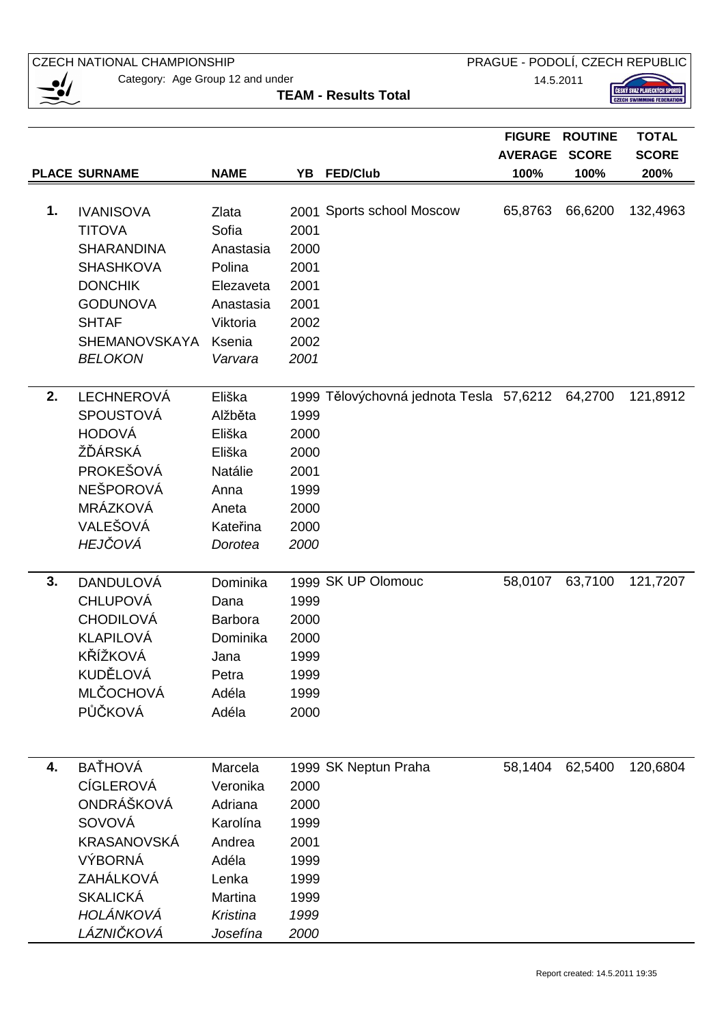$\sum_{i=1}^{\infty}$ **FIGURE ROUTINE TOTAL AVERAGE SCORE SCORE PLACE SURNAME NAME YB FED/Club 100% 100% 200% 1.** IVANISOVA Zlata 2001 Sports school Moscow 65,8763 66,6200 132,4963 TITOVA Sofia 2001 SHARANDINA Anastasia 2000 SHASHKOVA Polina 2001 DONCHIK Elezaveta 2001 GODUNOVA Anastasia 2001 SHTAF Viktoria 2002 SHEMANOVSKAYA Ksenia 2002 BELOKON Varvara 2001 **2.** LECHNEROVÁ Eliška 1999 Tělovýchovná jednota Tesla 57,6212 64,2700 121,8912 SPOUSTOVÁ Alžběta 1999 HODOVÁ Eliška 2000 ŽĎÁRSKÁ Eliška 2000 PROKEŠOVÁ Natálie 2001 NEŠPOROVÁ Anna 1999 MRÁZKOVÁ Aneta 2000 VALEŠOVÁ Kateřina 2000 HEJ*Č*OVÁ Dorotea 2000 **3.** DANDULOVÁ Dominika 1999 SK UP Olomouc 58,0107 63,7100 121,7207 CHLUPOVÁ Dana 1999 CHODILOVÁ Barbora 2000 KLAPILOVÁ Dominika 2000 KŘÍŽKOVÁ Jana 1999 KUDĚLOVÁ Petra 1999 MLČOCHOVÁ Adéla 1999 PŮČKOVÁ Adéla 2000 **4.** BAŤHOVÁ Marcela 1999 SK Neptun Praha 58,1404 62,5400 120,6804 CÍGLEROVÁ Veronika 2000 ONDRÁŠKOVÁ Adriana 2000 SOVOVÁ Karolína 1999 KRASANOVSKÁ Andrea 2001 VÝBORNÁ Adéla 1999 ZAHÁLKOVÁ Lenka 1999 SKALICKÁ Martina 1999 HOLÁNKOVÁ Kristina 1999 **TEAM - Results Total**

**CZECH NATIONAL CHAMPIONSHIP** 

Category: Age Group 12 and under

LÁZNI*Č*KOVÁ Josefína 2000

PRAGUE - PODOLÍ, CZECH REPUBLIC

14.5.2011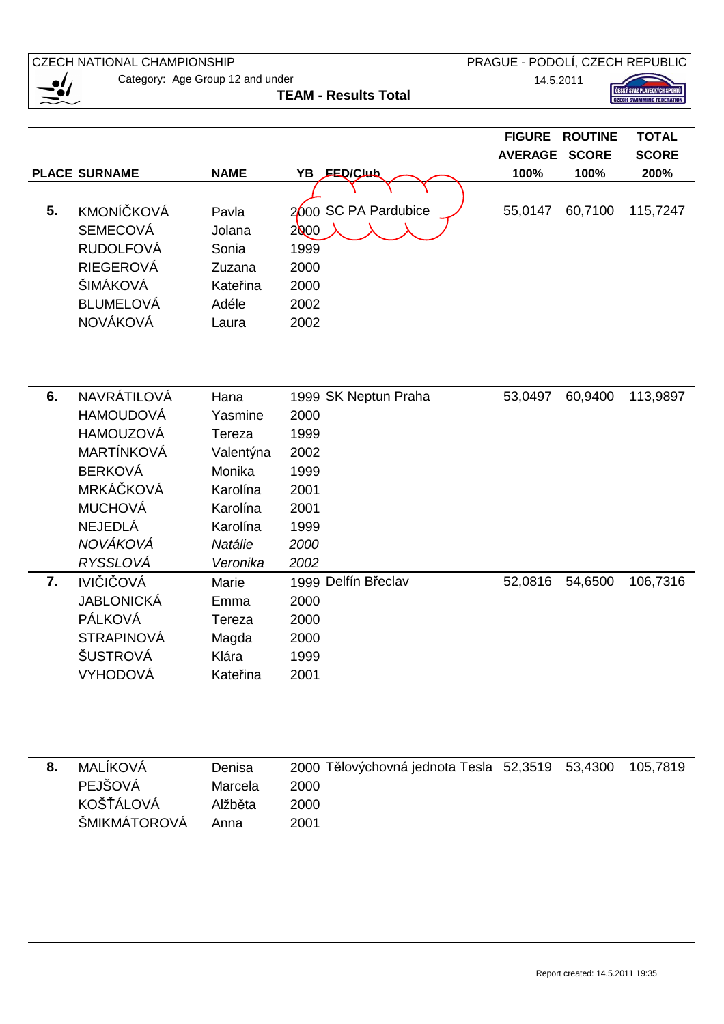| <b>CZECH NATIONAL CHAMPIONSHIP</b> |                                  |             |                                         | PRAGUE - PODOLÍ, CZECH REPUBLIC |                |                                  |
|------------------------------------|----------------------------------|-------------|-----------------------------------------|---------------------------------|----------------|----------------------------------|
|                                    | Category: Age Group 12 and under | 14.5.2011   |                                         |                                 |                |                                  |
|                                    | <b>TEAM - Results Total</b>      |             |                                         |                                 |                | <b>CZECH SWIMMING FEDERATION</b> |
|                                    |                                  |             |                                         |                                 |                |                                  |
|                                    |                                  |             |                                         | <b>FIGURE</b>                   | <b>ROUTINE</b> | <b>TOTAL</b>                     |
|                                    |                                  |             |                                         | <b>AVERAGE</b>                  | <b>SCORE</b>   | <b>SCORE</b>                     |
|                                    | <b>PLACE SURNAME</b>             | <b>NAME</b> | YB FED/Club                             | 100%                            | 100%           | 200%                             |
|                                    |                                  |             |                                         |                                 |                |                                  |
| 5.                                 | <b>KMONÍČKOVÁ</b>                | Pavla       | 2000 SC PA Pardubice                    | 55,0147                         | 60,7100        | 115,7247                         |
|                                    | <b>SEMECOVÁ</b>                  | Jolana      | 2000                                    |                                 |                |                                  |
|                                    | <b>RUDOLFOVÁ</b>                 | Sonia       | 1999                                    |                                 |                |                                  |
|                                    | <b>RIEGEROVÁ</b>                 | Zuzana      | 2000                                    |                                 |                |                                  |
|                                    | ŠIMÁKOVÁ                         | Kateřina    | 2000                                    |                                 |                |                                  |
|                                    | <b>BLUMELOVÁ</b>                 | Adéle       | 2002                                    |                                 |                |                                  |
|                                    | <b>NOVÁKOVÁ</b>                  | Laura       | 2002                                    |                                 |                |                                  |
|                                    |                                  |             |                                         |                                 |                |                                  |
|                                    |                                  |             |                                         |                                 |                |                                  |
|                                    |                                  |             |                                         |                                 |                |                                  |
| 6.                                 | NAVRÁTILOVÁ                      | Hana        | 1999 SK Neptun Praha                    | 53,0497                         | 60,9400        | 113,9897                         |
|                                    | <b>HAMOUDOVÁ</b>                 | Yasmine     | 2000                                    |                                 |                |                                  |
|                                    | <b>HAMOUZOVÁ</b>                 | Tereza      | 1999                                    |                                 |                |                                  |
|                                    | <b>MARTÍNKOVÁ</b>                | Valentýna   | 2002                                    |                                 |                |                                  |
|                                    | <b>BERKOVÁ</b>                   | Monika      | 1999                                    |                                 |                |                                  |
|                                    | MRKÁČKOVÁ                        | Karolína    | 2001                                    |                                 |                |                                  |
|                                    | <b>MUCHOVÁ</b>                   | Karolína    | 2001                                    |                                 |                |                                  |
|                                    | <b>NEJEDLÁ</b>                   | Karolína    | 1999                                    |                                 |                |                                  |
|                                    | NOVÁKOVÁ                         | Natálie     | 2000                                    |                                 |                |                                  |
|                                    | RYSSLOVÁ                         | Veronika    | 2002                                    |                                 |                |                                  |
| 7.                                 | <b>IVIČIČOVÁ</b>                 | Marie       | 1999 Delfín Břeclav                     | 52,0816                         | 54,6500        | 106,7316                         |
|                                    | JABLONICKÁ                       | Emma        | 2000                                    |                                 |                |                                  |
|                                    | PÁLKOVÁ                          | Tereza      | 2000                                    |                                 |                |                                  |
|                                    | <b>STRAPINOVÁ</b>                | Magda       | 2000                                    |                                 |                |                                  |
|                                    | ŠUSTROVÁ                         | Klára       | 1999                                    |                                 |                |                                  |
|                                    | VYHODOVÁ                         | Kateřina    | 2001                                    |                                 |                |                                  |
|                                    |                                  |             |                                         |                                 |                |                                  |
|                                    |                                  |             |                                         |                                 |                |                                  |
|                                    |                                  |             |                                         |                                 |                |                                  |
|                                    |                                  |             |                                         |                                 |                |                                  |
| 8.                                 | MALÍKOVÁ                         | Denisa      | 2000 Tělovýchovná jednota Tesla 52,3519 |                                 | 53,4300        | 105,7819                         |
|                                    | PEJŠOVÁ                          | Marcela     | 2000                                    |                                 |                |                                  |
|                                    | <b>KOŠŤÁLOVÁ</b>                 | Alžběta     | 2000                                    |                                 |                |                                  |
|                                    | ŠMIKMÁTOROVÁ                     | Anna        | 2001                                    |                                 |                |                                  |